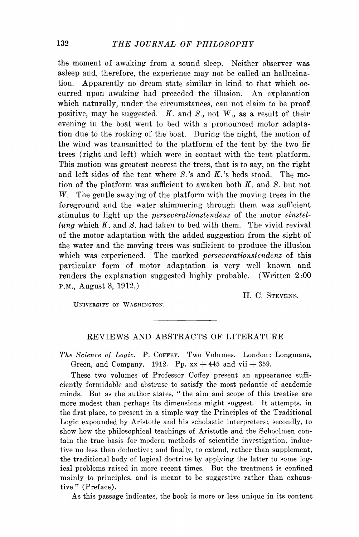the moment of awaking from a sound sleep. Neither observer was asleep and, therefore, the experience may not be called an hallucination. Apparently no dream state similar in kind to that which occurred upon awaking had preceded the illusion. An explanation which naturally, under the circumstances, can not claim to be proof positive, may be suggested. *K.* and *S.,* not *W.,* as a result of their evening in the boat went to bed with a pronounced motor adaptation due to the rocking of the boat. During the night, the motion of the wind was transmitted to the platform of the tent by the two fir trees (right and left) which were in contact with the tent platform. This motion was greatest nearest the trees, that is to say, on the right and left sides of the tent where  $S$ ,'s and  $K$ ,'s beds stood. The motion of the platform was sufficient to awaken both *K.* and *S.* but not *W.* The gentle swaying of the platform with the moving trees in the foreground and the water shimmering through them was sufficient stimulus to light up the *perseverationstendenz* of the motor *einstellung* which *K,* and *S.* had taken to bed with them. The vivid revival of the motor adaptation with the added suggestion from the sight of the water and the moving trees was sufficient to produce the illusion which was experienced. The marked *perseverationstendenz* of this particular form of motor adaptation is very well known and renders the explanation suggested highly probable. (Written 2:00 **P.M.,** August 3, 1912.)

**H . C. STEVENS.** 

**UNIVERSITY OF WASHINGTON.** 

## REVIEWS AND ABSTRACTS OF LITERATURE

*The Science of Logic.* P. **COFFEY. TWO** Volumes. London: Longmans, Green, and Company.  $1912.$  Pp.  $xx + 445$  and  $vii + 359.$ 

These two volumes of Professor Coffey present an appearance sufficiently formidable and abstruse to satisfy the most pedantic of academic minds. But as the author states, "the aim and scope of this treatise are more modest than perhaps its dimensions might suggest. It attempts, in the first place, to present in a simple way the Principles of the Traditional Logic expounded by Aristotle and his scholastic interpreters; secondly, to show how the philosophical teachings of Aristotle and the Schoolmen contain the true basis for modern methods of scientific investigation, inductive no less than deductive; and finally, to extend, rather than supplement, the traditional body of logical doctrine by applying the latter to some logical problems raised in more recent times. But the treatment is confined mainly to principles, and is meant to be suggestive rather than exhaustive" (Preface).

As this passage indicates, the book is more or less unique in its content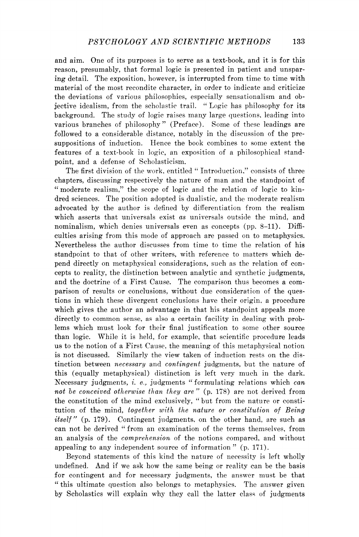and aim. One of its purposes is to serve as a text-book, and it is for this reason, presumably, that formal logic is presented in patient and unsparing detail. The exposition, however, is interrupted from time to time with material of the most recondite character, in order to indicate and criticize the deviations of various philosophies, especially sensationalism and objective idealism, from the scholastic trail. "Logic has philosophy for its background. The study of logic raises many large questions, leading into various branches of philosophy" (Preface). Some of these leadings are followed to **a** considerable distance, notably in the discussion of the presuppositions of induction. Hence the book combines to some extent the features of a text-book in logic, an exposition of a philosophical standpoint, and a defense of Scholasticism.

The first division of the work, entitled "Introduction," consists of three chapters, discussing respectively the nature of man and the standpoint of " moderate realism," the scope of logic and the relation of logic to kindred sciences. The position adopted is dualistic, and the moderate realism advocated by the author is defined by differentiation from the realism which asserts that universals exist *as* universals outside the mind, and nominalism, which denies universals even as concepts (pp. **8-11).** Difficulties arising from this mode of approach are passed on to metaphysics. Nevertheless the author discusses from time to time the relation of his standpoint to that of other writers, with reference to matters which depend directly on metaphysical considerations, such as the relation of concepts to reality, the distinction between analytic and synthetic judgments, and the doctrine of a First Cause. The comparison thus becomes **a** comparison of results or conclusions, without due consideration of the questions in which these divergent conclusions have their origin, a procedure which gives the author an advantage in that his standpoint appeals more directly to common sense, as also a certain facility in dealing with problems which must look for their final justification to some other source than logic. While it is held, for example, that scientific procedure leads us to the notion of a First Cause, the meaning of this metaphysical notion is not discussed. Similarly the view taken of induction rests on the distinction between *necessary* and *contingent* judgments, but the nature of this (equally metaphysical) distinction is left very much in the dark. Necessary judgments, *i. e.,* judgments " formulating relations which *can not he conceived otherwise than they are''* (p. **178)** are not derived from the constitution of the mind exclusively, "but from the nature or constitution of the mind, *together with the nature or constitution of Being itself* " (p. 179). Contingent judgments, on the other hand, are such as can not be derived from an examination of the terms themselves, from an analysis of the *comprehension* of the notions compared, and without appealing to any independent source of information" (p. **171).** 

Beyond statements of this kind the nature of necessity is left wholly undefined. And if we ask how the same being or reality can be the basis for contingent and for necessary judgments, the answer must be that " this ultimate question also belongs to metaphysics. The answer given by Scholastics will explain why they call the latter class of judgments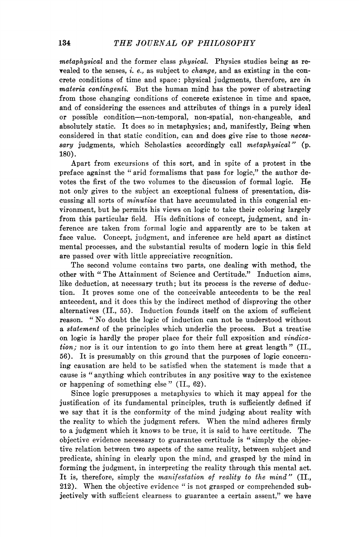*metaphysical* and the former class *physical.* Physics studies being **as** re-**Tealed** to the senses, *i. e.,* as subject to *change,* and as existing in the concrete conditions of time and space: physical judgments, therefore, are *in materia contingenti.* But the human mind has the power of abstracting from those changing conditions of concrete existence in time and space, and of considering the essences and attributes of things in a purely ideal or possible condition—non-temporal, non-spatial, non-changeable, and absolutely static. It does so in metaphysics; and, manifestly, Being when considered in that static condition, can and does give rise to those *necessary* judgments, which Scholastics accordingly call *metaphysical"* (p. 180).

Apart from excursions of this sort, and in spite of a protest in the preface against the " arid formalisms that pass for logic," the author devotes **the** first of the two volumes to the discussion of formal logic. He not only gives to the subject an exceptional fulness of presentation, discussing all sorts of *minutiae* that have accumulated in this congenial environment, but he permits his views on logic to take their coloring largely from this particular field. His definitions of concept, judgment, and inference are taken from formal logic and apparently are to be taken at face value. Concept, judgment, and inference are held apart as distinct mental processes, and the substantial results of modern logic in this field **are** passed over with little appreciative recognition.

The second volume contains two parts, one dealing with method, the **other** with " The Attainment of Science and Certitude." Induction aims, like deduction, at necessary truth; but its process is the reverse of deduction. It proves some one **of** the conceivable antecedents **to** be the real antecedent, and it does this by the indirect method **of** disproving the other alternatives (II., 55). Induction founds itself **on** the axiom **of** sufficient reason. " No doubt the logic **of** induction can not be understood without a *statement* **of** the principles which underlie the process. But a treatise **on** logic **is** hardly the proper place for their full exposition and *vindication;* nor **is** it our intention to **go** into them here at great length " (II., 56). It **is** presumably **on** this ground that the purposes of logic concerning causation are held to be satisfied when the statement is made that a cause is " anything which contributes **in** any positive way to the existence or happening of something else" (TI., 62).

Since logic presupposes a metaphysics to which **it** may appeal for the justification **of** its fundamental principles, truth **is** sufficiently defined **if**  we say that it is the conformity of the mind judging about reality with the reality to which the judgment refers. When the mind adheres firmly to a judgment which it knows to be true, it is said to have certitude. The objective evidence necessary to guarantee certitude **is** " simply the objective relation between two aspects of the same reality, between subject and predicate, shining **in** clearly upon the mind, and grasped by the mind in forming the judgment, **in** interpreting the reality through this mental act. It **is,** therefore, simply the *manifestation of reality to the mind"* (II., 212). When the objective evidence " **is** not grasped or comprehended subjectively with sufficient clearness to guarantee a certain assent," we have